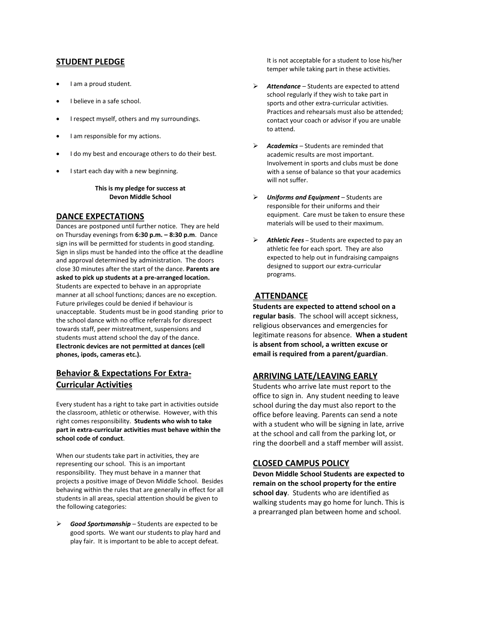## **STUDENT PLEDGE**

- I am a proud student.
- I believe in a safe school.
- I respect myself, others and my surroundings.
- I am responsible for my actions.
- I do my best and encourage others to do their best.
- I start each day with a new beginning.

#### **This is my pledge for success at Devon Middle School**

## **DANCE EXPECTATIONS**

Dances are postponed until further notice. They are held on Thursday evenings from **6:30 p.m. – 8:30 p.m**. Dance sign ins will be permitted for students in good standing. Sign in slips must be handed into the office at the deadline and approval determined by administration. The doors close 30 minutes after the start of the dance. **Parents are asked to pick up students at a pre-arranged location.** Students are expected to behave in an appropriate manner at all school functions; dances are no exception. Future privileges could be denied if behaviour is unacceptable. Students must be in good standing prior to the school dance with no office referrals for disrespect towards staff, peer mistreatment, suspensions and students must attend school the day of the dance. **Electronic devices are not permitted at dances (cell phones, ipods, cameras etc.).**

# **Behavior & Expectations For Extra-Curricular Activities**

Every student has a right to take part in activities outside the classroom, athletic or otherwise. However, with this right comes responsibility. **Students who wish to take part in extra-curricular activities must behave within the school code of conduct**.

When our students take part in activities, they are representing our school. This is an important responsibility. They must behave in a manner that projects a positive image of Devon Middle School. Besides behaving within the rules that are generally in effect for all students in all areas, special attention should be given to the following categories:

Good Sportsmanship - Students are expected to be good sports. We want our students to play hard and play fair. It is important to be able to accept defeat.

It is not acceptable for a student to lose his/her temper while taking part in these activities.

- ➢ *Attendance*  Students are expected to attend school regularly if they wish to take part in sports and other extra-curricular activities. Practices and rehearsals must also be attended; contact your coach or advisor if you are unable to attend.
- ➢ *Academics* Students are reminded that academic results are most important. Involvement in sports and clubs must be done with a sense of balance so that your academics will not suffer.
- ➢ *Uniforms and Equipment*  Students are responsible for their uniforms and their equipment. Care must be taken to ensure these materials will be used to their maximum.
- ➢ *Athletic Fees*  Students are expected to pay an athletic fee for each sport. They are also expected to help out in fundraising campaigns designed to support our extra-curricular programs.

## **ATTENDANCE**

**Students are expected to attend school on a regular basis**. The school will accept sickness, religious observances and emergencies for legitimate reasons for absence. **When a student is absent from school, a written excuse or email is required from a parent/guardian**.

## **ARRIVING LATE/LEAVING EARLY**

Students who arrive late must report to the office to sign in. Any student needing to leave school during the day must also report to the office before leaving. Parents can send a note with a student who will be signing in late, arrive at the school and call from the parking lot, or ring the doorbell and a staff member will assist.

## **CLOSED CAMPUS POLICY**

**Devon Middle School Students are expected to remain on the school property for the entire school day**. Students who are identified as walking students may go home for lunch. This is a prearranged plan between home and school.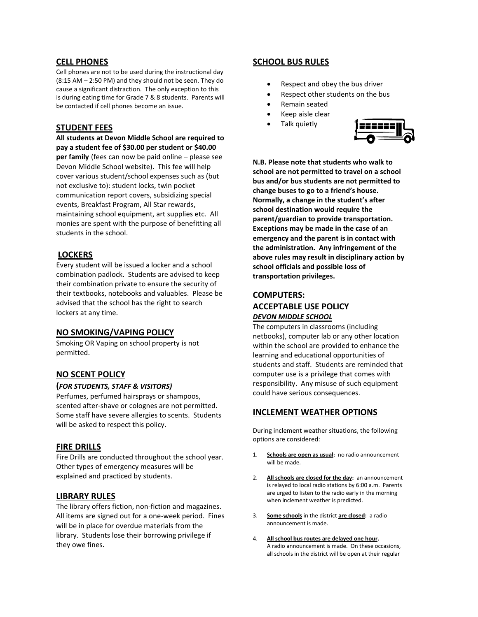## **CELL PHONES**

Cell phones are not to be used during the instructional day (8:15 AM – 2:50 PM) and they should not be seen. They do cause a significant distraction. The only exception to this is during eating time for Grade 7 & 8 students. Parents will be contacted if cell phones become an issue.

## **STUDENT FEES**

**All students at Devon Middle School are required to pay a student fee of \$30.00 per student or \$40.00 per family** (fees can now be paid online – please see Devon Middle School website). This fee will help cover various student/school expenses such as (but not exclusive to): student locks, twin pocket communication report covers, subsidizing special events, Breakfast Program, All Star rewards, maintaining school equipment, art supplies etc. All monies are spent with the purpose of benefitting all students in the school.

## **LOCKERS**

Every student will be issued a locker and a school combination padlock. Students are advised to keep their combination private to ensure the security of their textbooks, notebooks and valuables. Please be advised that the school has the right to search lockers at any time.

## **NO SMOKING/VAPING POLICY**

Smoking OR Vaping on school property is not permitted.

# **NO SCENT POLICY**

## **(***FOR STUDENTS, STAFF & VISITORS)*

Perfumes, perfumed hairsprays or shampoos, scented after-shave or colognes are not permitted. Some staff have severe allergies to scents. Students will be asked to respect this policy.

## **FIRE DRILLS**

Fire Drills are conducted throughout the school year. Other types of emergency measures will be explained and practiced by students.

## **LIBRARY RULES**

The library offers fiction, non-fiction and magazines. All items are signed out for a one-week period. Fines will be in place for overdue materials from the library. Students lose their borrowing privilege if they owe fines.

# **SCHOOL BUS RULES**

- Respect and obey the bus driver
- Respect other students on the bus
- Remain seated
- Keep aisle clear
- Talk quietly



**N.B. Please note that students who walk to school are not permitted to travel on a school bus and/or bus students are not permitted to change buses to go to a friend's house. Normally, a change in the student's after school destination would require the parent/guardian to provide transportation. Exceptions may be made in the case of an emergency and the parent is in contact with the administration. Any infringement of the above rules may result in disciplinary action by school officials and possible loss of transportation privileges.**

# **COMPUTERS: ACCEPTABLE USE POLICY** *DEVON MIDDLE SCHOOL*

The computers in classrooms (including netbooks), computer lab or any other location within the school are provided to enhance the learning and educational opportunities of students and staff. Students are reminded that computer use is a privilege that comes with responsibility. Any misuse of such equipment could have serious consequences.

## **INCLEMENT WEATHER OPTIONS**

During inclement weather situations, the following options are considered:

- 1. **Schools are open as usual:** no radio announcement will be made.
- 2. **All schools are closed for the day:** an announcement is relayed to local radio stations by 6:00 a.m. Parents are urged to listen to the radio early in the morning when inclement weather is predicted.
- 3. **Some schools** in the district **are closed:** a radio announcement is made.
- 4. **All school bus routes are delayed one hour.** A radio announcement is made. On these occasions, all schools in the district will be open at their regular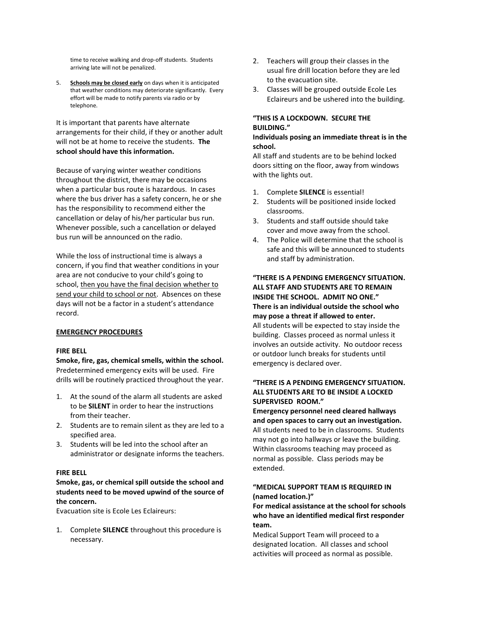time to receive walking and drop-off students. Students arriving late will not be penalized.

5. **Schools may be closed early** on days when it is anticipated that weather conditions may deteriorate significantly. Every effort will be made to notify parents via radio or by telephone.

It is important that parents have alternate arrangements for their child, if they or another adult will not be at home to receive the students. **The school should have this information.**

Because of varying winter weather conditions throughout the district, there may be occasions when a particular bus route is hazardous. In cases where the bus driver has a safety concern, he or she has the responsibility to recommend either the cancellation or delay of his/her particular bus run. Whenever possible, such a cancellation or delayed bus run will be announced on the radio.

While the loss of instructional time is always a concern, if you find that weather conditions in your area are not conducive to your child's going to school, then you have the final decision whether to send your child to school or not. Absences on these days will not be a factor in a student's attendance record.

#### **EMERGENCY PROCEDURES**

#### **FIRE BELL**

**Smoke, fire, gas, chemical smells, within the school.** Predetermined emergency exits will be used. Fire drills will be routinely practiced throughout the year.

- 1. At the sound of the alarm all students are asked to be **SILENT** in order to hear the instructions from their teacher.
- 2. Students are to remain silent as they are led to a specified area.
- 3. Students will be led into the school after an administrator or designate informs the teachers.

#### **FIRE BELL**

#### **Smoke, gas, or chemical spill outside the school and students need to be moved upwind of the source of the concern.**

Evacuation site is Ecole Les Eclaireurs:

1. Complete **SILENCE** throughout this procedure is necessary.

- 2. Teachers will group their classes in the usual fire drill location before they are led to the evacuation site.
- 3. Classes will be grouped outside Ecole Les Eclaireurs and be ushered into the building.

# **"THIS IS A LOCKDOWN. SECURE THE BUILDING."**

#### **Individuals posing an immediate threat is in the school.**

All staff and students are to be behind locked doors sitting on the floor, away from windows with the lights out.

- 1. Complete **SILENCE** is essential!
- 2. Students will be positioned inside locked classrooms.
- 3. Students and staff outside should take cover and move away from the school.
- 4. The Police will determine that the school is safe and this will be announced to students and staff by administration.

# **"THERE IS A PENDING EMERGENCY SITUATION. ALL STAFF AND STUDENTS ARE TO REMAIN INSIDE THE SCHOOL. ADMIT NO ONE." There is an individual outside the school who may pose a threat if allowed to enter.**

All students will be expected to stay inside the building. Classes proceed as normal unless it involves an outside activity. No outdoor recess or outdoor lunch breaks for students until emergency is declared over.

#### **"THERE IS A PENDING EMERGENCY SITUATION. ALL STUDENTS ARE TO BE INSIDE A LOCKED SUPERVISED ROOM."**

**Emergency personnel need cleared hallways and open spaces to carry out an investigation.** All students need to be in classrooms. Students may not go into hallways or leave the building. Within classrooms teaching may proceed as normal as possible. Class periods may be extended.

#### **"MEDICAL SUPPORT TEAM IS REQUIRED IN (named location.)"**

**For medical assistance at the school for schools who have an identified medical first responder team.**

Medical Support Team will proceed to a designated location. All classes and school activities will proceed as normal as possible.